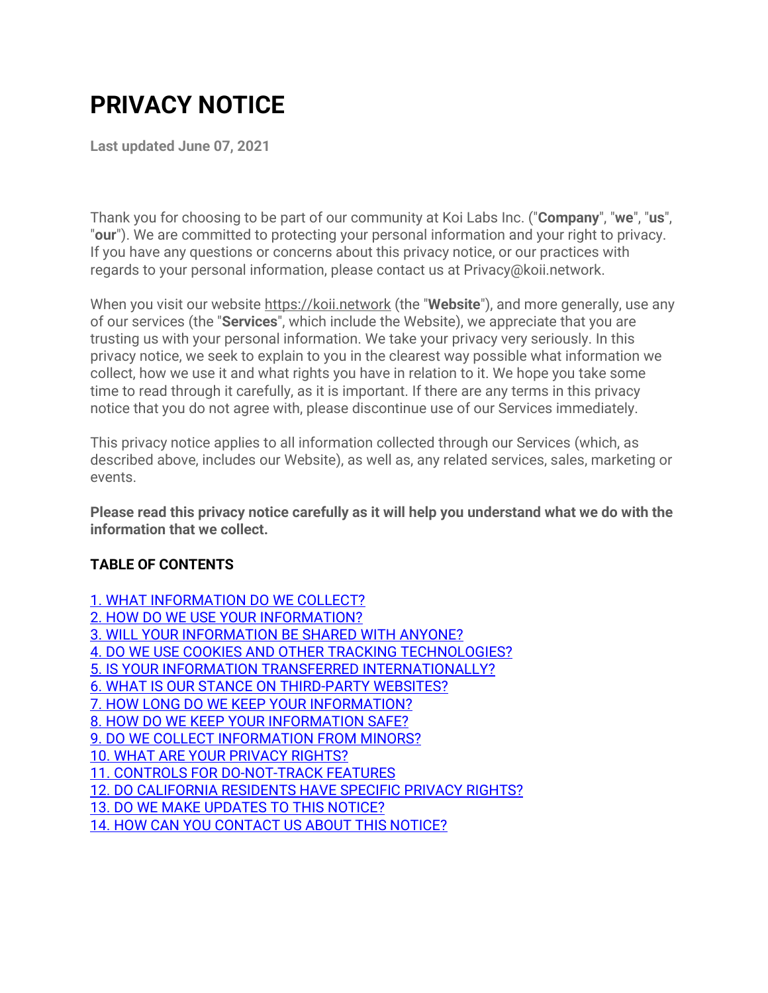# **PRIVACY NOTICE**

**Last updated June 07, 2021**

Thank you for choosing to be part of our community at Koi Labs Inc. ("**Company**", "**we**", "**us**", "**our**"). We are committed to protecting your personal information and your right to privacy. If you have any questions or concerns about this privacy notice, or our practices with regards to your personal information, please contact us at Privacy@koii.network.

When you visit our website [https://koii.network](https://koii.network/) (the "**Website**"), and more generally, use any of our services (the "**Services**", which include the Website), we appreciate that you are trusting us with your personal information. We take your privacy very seriously. In this privacy notice, we seek to explain to you in the clearest way possible what information we collect, how we use it and what rights you have in relation to it. We hope you take some time to read through it carefully, as it is important. If there are any terms in this privacy notice that you do not agree with, please discontinue use of our Services immediately.

This privacy notice applies to all information collected through our Services (which, as described above, includes our Website), as well as, any related services, sales, marketing or events.

**Please read this privacy notice carefully as it will help you understand what we do with the information that we collect.**

## **TABLE OF CONTENTS**

[1. WHAT INFORMATION DO WE COLLECT?](#page-1-0) [2. HOW DO WE USE YOUR INFORMATION?](#page-2-0) [3. WILL YOUR INFORMATION BE SHARED WITH ANYONE?](#page-4-0) [4. DO WE USE COOKIES AND OTHER TRACKING TECHNOLOGIES?](#page-5-0) [5. IS YOUR INFORMATION TRANSFERRED INTERNATIONALLY?](#page-5-1) [6. WHAT IS OUR STANCE ON THIRD-PARTY WEBSITES?](#page-5-2) [7. HOW LONG DO WE KEEP YOUR INFORMATION?](#page-5-3) [8. HOW DO WE KEEP YOUR INFORMATION SAFE?](#page-6-0) [9. DO WE COLLECT INFORMATION FROM MINORS?](#page-6-1) [10. WHAT ARE YOUR PRIVACY RIGHTS?](#page-6-2) [11. CONTROLS FOR DO-NOT-TRACK FEATURES](#page-7-0) [12. DO CALIFORNIA RESIDENTS HAVE SPECIFIC PRIVACY RIGHTS?](#page-8-0) [13. DO WE MAKE UPDATES TO THIS NOTICE?](#page-8-1) [14. HOW CAN YOU CONTACT US ABOUT THIS NOTICE?](#page-8-2)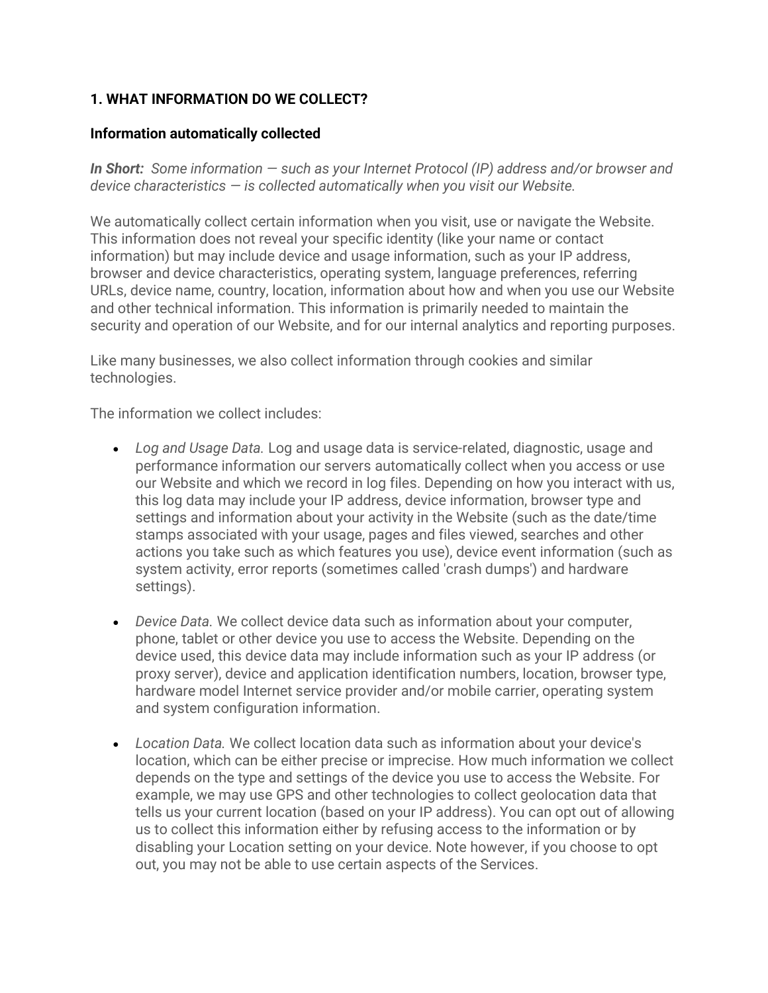## <span id="page-1-0"></span>**1. WHAT INFORMATION DO WE COLLECT?**

#### **Information automatically collected**

*In Short: Some information — such as your Internet Protocol (IP) address and/or browser and device characteristics — is collected automatically when you visit our Website.*

We automatically collect certain information when you visit, use or navigate the Website. This information does not reveal your specific identity (like your name or contact information) but may include device and usage information, such as your IP address, browser and device characteristics, operating system, language preferences, referring URLs, device name, country, location, information about how and when you use our Website and other technical information. This information is primarily needed to maintain the security and operation of our Website, and for our internal analytics and reporting purposes.

Like many businesses, we also collect information through cookies and similar technologies.

The information we collect includes:

- *Log and Usage Data.* Log and usage data is service-related, diagnostic, usage and performance information our servers automatically collect when you access or use our Website and which we record in log files. Depending on how you interact with us, this log data may include your IP address, device information, browser type and settings and information about your activity in the Website (such as the date/time stamps associated with your usage, pages and files viewed, searches and other actions you take such as which features you use), device event information (such as system activity, error reports (sometimes called 'crash dumps') and hardware settings).
- *Device Data.* We collect device data such as information about your computer, phone, tablet or other device you use to access the Website. Depending on the device used, this device data may include information such as your IP address (or proxy server), device and application identification numbers, location, browser type, hardware model Internet service provider and/or mobile carrier, operating system and system configuration information.
- *Location Data.* We collect location data such as information about your device's location, which can be either precise or imprecise. How much information we collect depends on the type and settings of the device you use to access the Website. For example, we may use GPS and other technologies to collect geolocation data that tells us your current location (based on your IP address). You can opt out of allowing us to collect this information either by refusing access to the information or by disabling your Location setting on your device. Note however, if you choose to opt out, you may not be able to use certain aspects of the Services.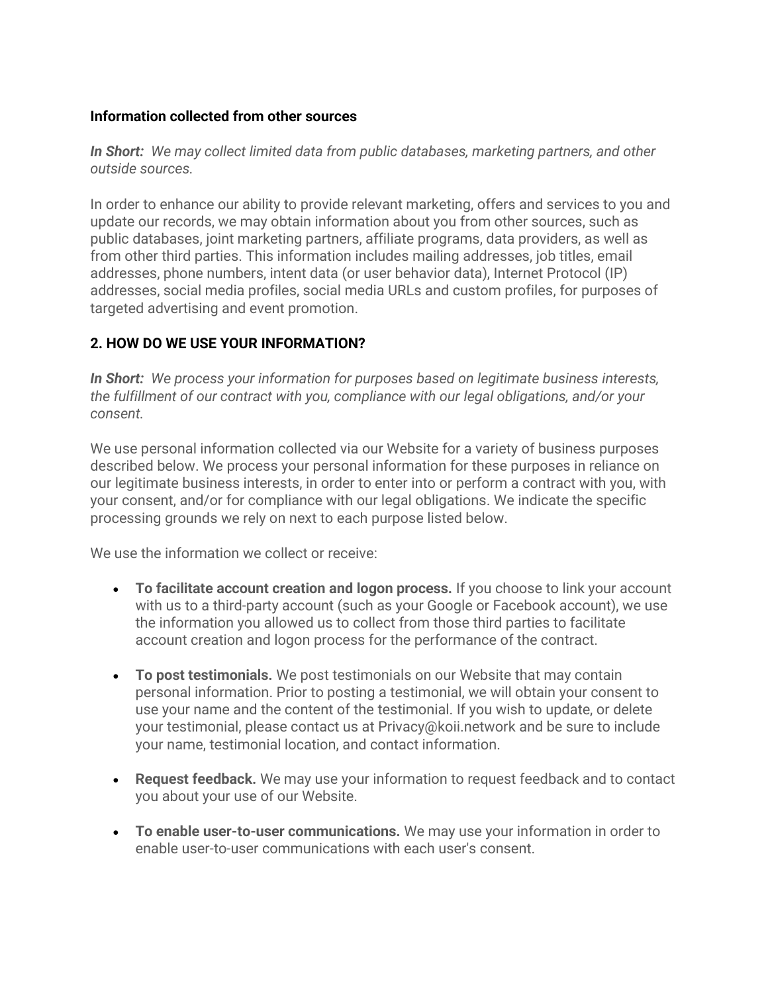#### **Information collected from other sources**

*In Short: We may collect limited data from public databases, marketing partners, and other outside sources.*

In order to enhance our ability to provide relevant marketing, offers and services to you and update our records, we may obtain information about you from other sources, such as public databases, joint marketing partners, affiliate programs, data providers, as well as from other third parties. This information includes mailing addresses, job titles, email addresses, phone numbers, intent data (or user behavior data), Internet Protocol (IP) addresses, social media profiles, social media URLs and custom profiles, for purposes of targeted advertising and event promotion.

#### <span id="page-2-0"></span>**2. HOW DO WE USE YOUR INFORMATION?**

*In Short: We process your information for purposes based on legitimate business interests, the fulfillment of our contract with you, compliance with our legal obligations, and/or your consent.*

We use personal information collected via our Website for a variety of business purposes described below. We process your personal information for these purposes in reliance on our legitimate business interests, in order to enter into or perform a contract with you, with your consent, and/or for compliance with our legal obligations. We indicate the specific processing grounds we rely on next to each purpose listed below.

We use the information we collect or receive:

- **To facilitate account creation and logon process.** If you choose to link your account with us to a third-party account (such as your Google or Facebook account), we use the information you allowed us to collect from those third parties to facilitate account creation and logon process for the performance of the contract.
- **To post testimonials.** We post testimonials on our Website that may contain personal information. Prior to posting a testimonial, we will obtain your consent to use your name and the content of the testimonial. If you wish to update, or delete your testimonial, please contact us at Privacy@koii.network and be sure to include your name, testimonial location, and contact information.
- **Request feedback.** We may use your information to request feedback and to contact you about your use of our Website.
- **To enable user-to-user communications.** We may use your information in order to enable user-to-user communications with each user's consent.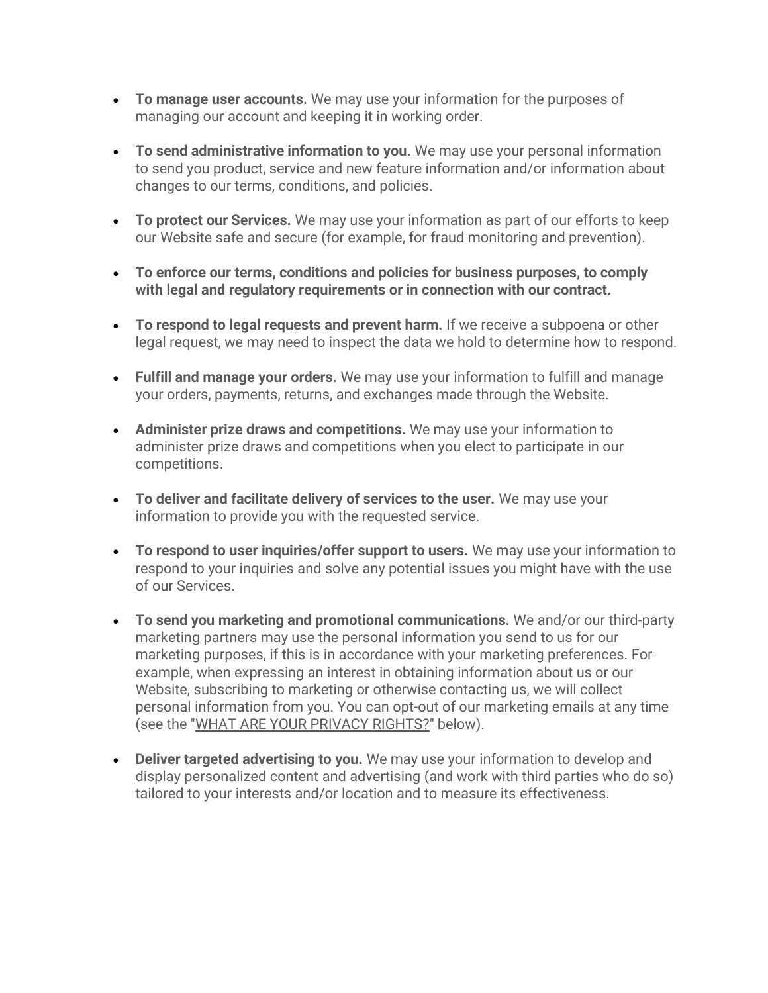- **To manage user accounts.** We may use your information for the purposes of managing our account and keeping it in working order.
- **To send administrative information to you.** We may use your personal information to send you product, service and new feature information and/or information about changes to our terms, conditions, and policies.
- **To protect our Services.** We may use your information as part of our efforts to keep our Website safe and secure (for example, for fraud monitoring and prevention).
- **To enforce our terms, conditions and policies for business purposes, to comply with legal and regulatory requirements or in connection with our contract.**
- **To respond to legal requests and prevent harm.** If we receive a subpoena or other legal request, we may need to inspect the data we hold to determine how to respond.
- **Fulfill and manage your orders.** We may use your information to fulfill and manage your orders, payments, returns, and exchanges made through the Website.
- **Administer prize draws and competitions.** We may use your information to administer prize draws and competitions when you elect to participate in our competitions.
- **To deliver and facilitate delivery of services to the user.** We may use your information to provide you with the requested service.
- **To respond to user inquiries/offer support to users.** We may use your information to respond to your inquiries and solve any potential issues you might have with the use of our Services.
- **To send you marketing and promotional communications.** We and/or our third-party marketing partners may use the personal information you send to us for our marketing purposes, if this is in accordance with your marketing preferences. For example, when expressing an interest in obtaining information about us or our Website, subscribing to marketing or otherwise contacting us, we will collect personal information from you. You can opt-out of our marketing emails at any time (see the ["WHAT ARE YOUR PRIVACY RIGHTS?"](#page-6-2) below).
- **Deliver targeted advertising to you.** We may use your information to develop and display personalized content and advertising (and work with third parties who do so) tailored to your interests and/or location and to measure its effectiveness.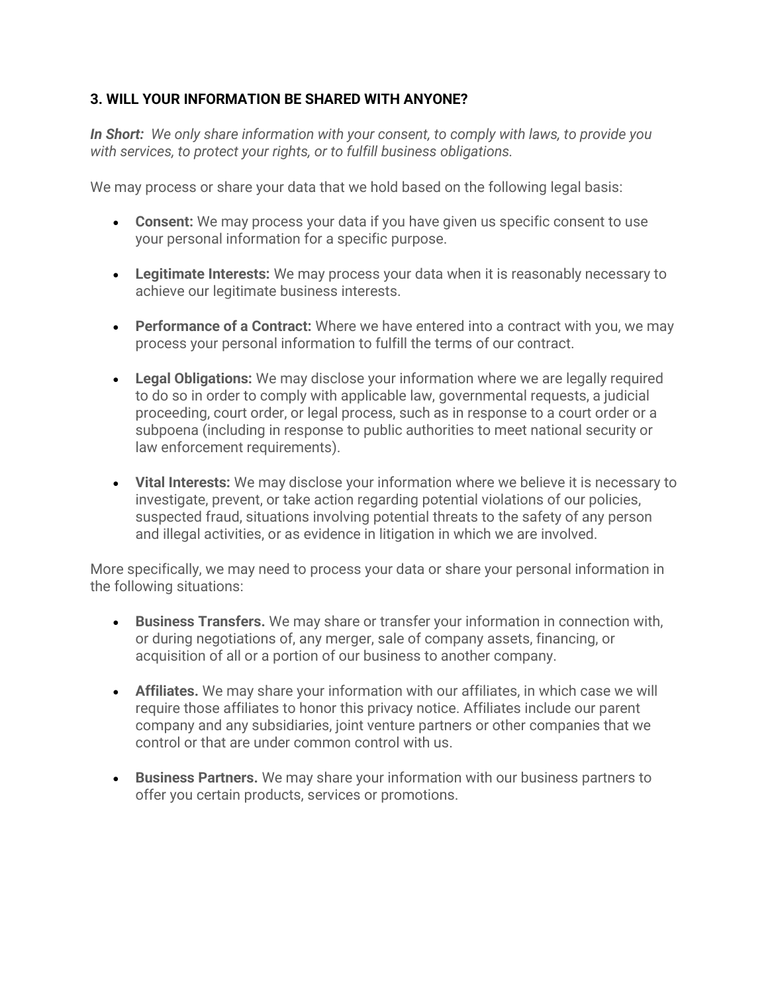#### <span id="page-4-0"></span>**3. WILL YOUR INFORMATION BE SHARED WITH ANYONE?**

*In Short: We only share information with your consent, to comply with laws, to provide you with services, to protect your rights, or to fulfill business obligations.*

We may process or share your data that we hold based on the following legal basis:

- **Consent:** We may process your data if you have given us specific consent to use your personal information for a specific purpose.
- **Legitimate Interests:** We may process your data when it is reasonably necessary to achieve our legitimate business interests.
- **Performance of a Contract:** Where we have entered into a contract with you, we may process your personal information to fulfill the terms of our contract.
- **Legal Obligations:** We may disclose your information where we are legally required to do so in order to comply with applicable law, governmental requests, a judicial proceeding, court order, or legal process, such as in response to a court order or a subpoena (including in response to public authorities to meet national security or law enforcement requirements).
- **Vital Interests:** We may disclose your information where we believe it is necessary to investigate, prevent, or take action regarding potential violations of our policies, suspected fraud, situations involving potential threats to the safety of any person and illegal activities, or as evidence in litigation in which we are involved.

More specifically, we may need to process your data or share your personal information in the following situations:

- **Business Transfers.** We may share or transfer your information in connection with, or during negotiations of, any merger, sale of company assets, financing, or acquisition of all or a portion of our business to another company.
- **Affiliates.** We may share your information with our affiliates, in which case we will require those affiliates to honor this privacy notice. Affiliates include our parent company and any subsidiaries, joint venture partners or other companies that we control or that are under common control with us.
- **Business Partners.** We may share your information with our business partners to offer you certain products, services or promotions.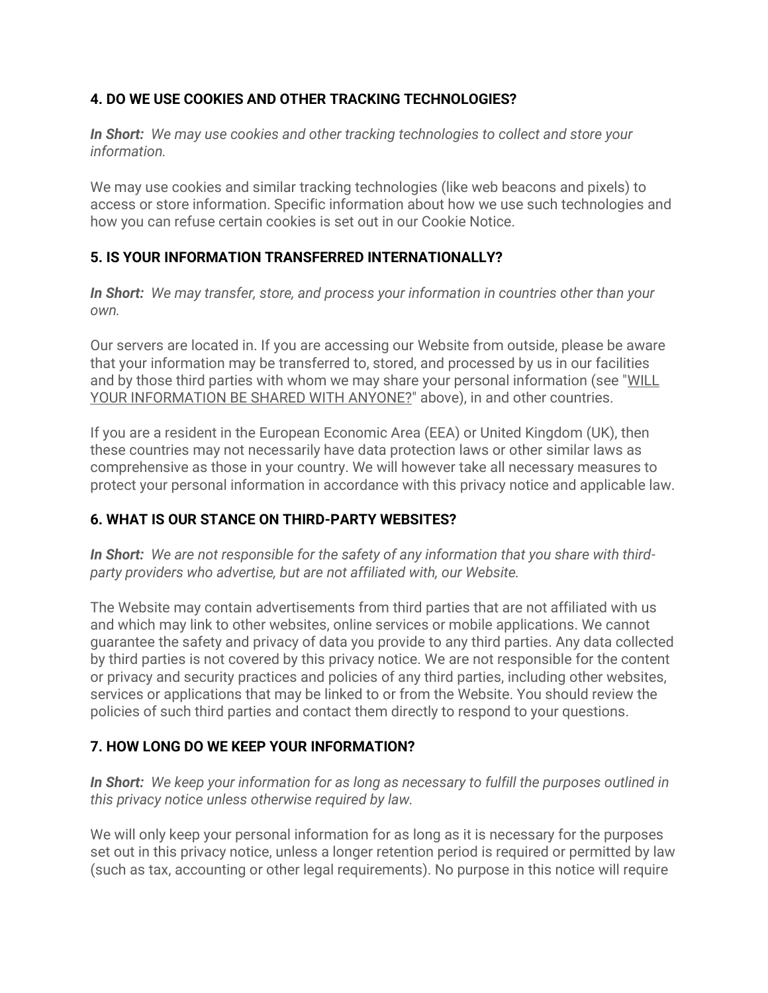# <span id="page-5-0"></span>**4. DO WE USE COOKIES AND OTHER TRACKING TECHNOLOGIES?**

*In Short: We may use cookies and other tracking technologies to collect and store your information.*

We may use cookies and similar tracking technologies (like web beacons and pixels) to access or store information. Specific information about how we use such technologies and how you can refuse certain cookies is set out in our Cookie Notice.

#### <span id="page-5-1"></span>**5. IS YOUR INFORMATION TRANSFERRED INTERNATIONALLY?**

*In Short: We may transfer, store, and process your information in countries other than your own.*

Our servers are located in. If you are accessing our Website from outside, please be aware that your information may be transferred to, stored, and processed by us in our facilities and by those third parties with whom we may share your personal information (see ["WILL](#page-4-0)  [YOUR INFORMATION BE SHARED WITH ANYONE?"](#page-4-0) above), in and other countries.

If you are a resident in the European Economic Area (EEA) or United Kingdom (UK), then these countries may not necessarily have data protection laws or other similar laws as comprehensive as those in your country. We will however take all necessary measures to protect your personal information in accordance with this privacy notice and applicable law.

## <span id="page-5-2"></span>**6. WHAT IS OUR STANCE ON THIRD-PARTY WEBSITES?**

*In Short: We are not responsible for the safety of any information that you share with thirdparty providers who advertise, but are not affiliated with, our Website.*

The Website may contain advertisements from third parties that are not affiliated with us and which may link to other websites, online services or mobile applications. We cannot guarantee the safety and privacy of data you provide to any third parties. Any data collected by third parties is not covered by this privacy notice. We are not responsible for the content or privacy and security practices and policies of any third parties, including other websites, services or applications that may be linked to or from the Website. You should review the policies of such third parties and contact them directly to respond to your questions.

## <span id="page-5-3"></span>**7. HOW LONG DO WE KEEP YOUR INFORMATION?**

*In Short: We keep your information for as long as necessary to fulfill the purposes outlined in this privacy notice unless otherwise required by law.*

We will only keep your personal information for as long as it is necessary for the purposes set out in this privacy notice, unless a longer retention period is required or permitted by law (such as tax, accounting or other legal requirements). No purpose in this notice will require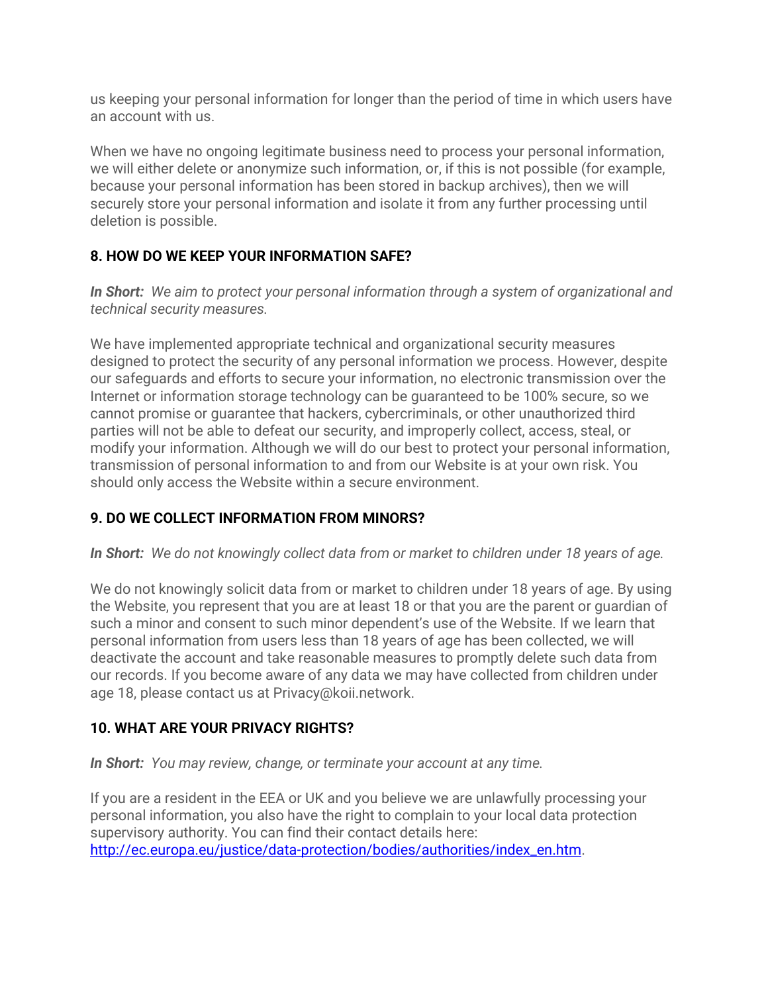us keeping your personal information for longer than the period of time in which users have an account with us.

When we have no ongoing legitimate business need to process your personal information, we will either delete or anonymize such information, or, if this is not possible (for example, because your personal information has been stored in backup archives), then we will securely store your personal information and isolate it from any further processing until deletion is possible.

## <span id="page-6-0"></span>**8. HOW DO WE KEEP YOUR INFORMATION SAFE?**

*In Short: We aim to protect your personal information through a system of organizational and technical security measures.*

We have implemented appropriate technical and organizational security measures designed to protect the security of any personal information we process. However, despite our safeguards and efforts to secure your information, no electronic transmission over the Internet or information storage technology can be guaranteed to be 100% secure, so we cannot promise or guarantee that hackers, cybercriminals, or other unauthorized third parties will not be able to defeat our security, and improperly collect, access, steal, or modify your information. Although we will do our best to protect your personal information, transmission of personal information to and from our Website is at your own risk. You should only access the Website within a secure environment.

## <span id="page-6-1"></span>**9. DO WE COLLECT INFORMATION FROM MINORS?**

*In Short: We do not knowingly collect data from or market to children under 18 years of age.*

We do not knowingly solicit data from or market to children under 18 years of age. By using the Website, you represent that you are at least 18 or that you are the parent or guardian of such a minor and consent to such minor dependent's use of the Website. If we learn that personal information from users less than 18 years of age has been collected, we will deactivate the account and take reasonable measures to promptly delete such data from our records. If you become aware of any data we may have collected from children under age 18, please contact us at Privacy@koii.network.

## <span id="page-6-2"></span>**10. WHAT ARE YOUR PRIVACY RIGHTS?**

*In Short: You may review, change, or terminate your account at any time.*

If you are a resident in the EEA or UK and you believe we are unlawfully processing your personal information, you also have the right to complain to your local data protection supervisory authority. You can find their contact details here: [http://ec.europa.eu/justice/data-protection/bodies/authorities/index\\_en.htm.](http://ec.europa.eu/justice/data-protection/bodies/authorities/index_en.htm)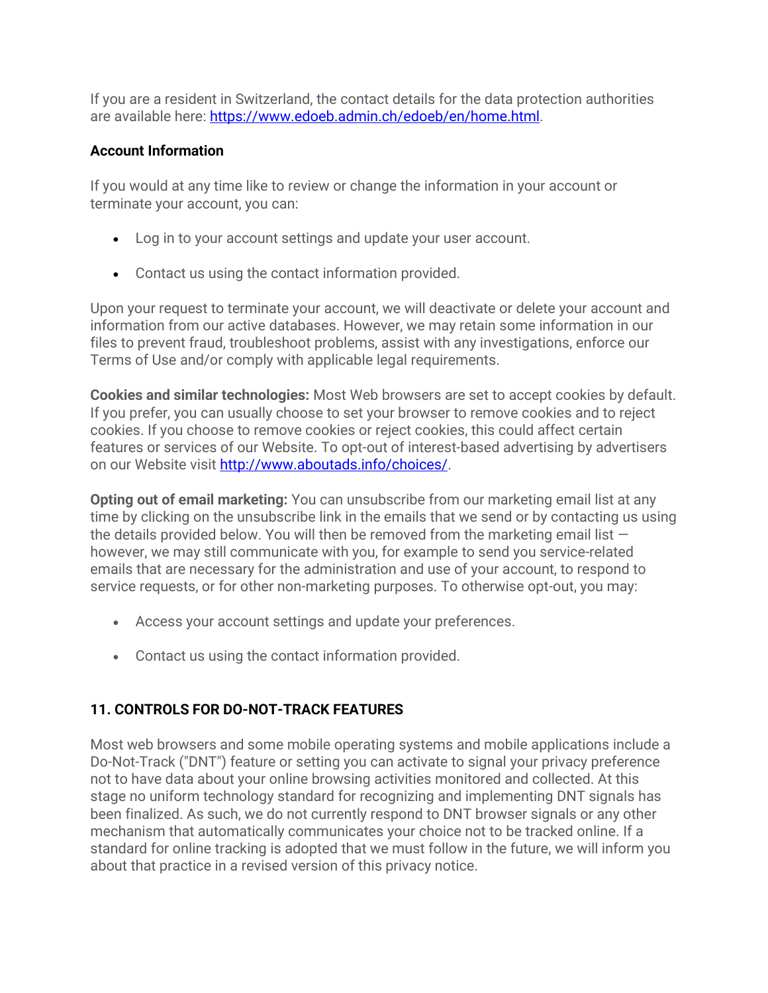If you are a resident in Switzerland, the contact details for the data protection authorities are available here: [https://www.edoeb.admin.ch/edoeb/en/home.html.](https://www.edoeb.admin.ch/edoeb/en/home.html)

#### **Account Information**

If you would at any time like to review or change the information in your account or terminate your account, you can:

- Log in to your account settings and update your user account.
- Contact us using the contact information provided.

Upon your request to terminate your account, we will deactivate or delete your account and information from our active databases. However, we may retain some information in our files to prevent fraud, troubleshoot problems, assist with any investigations, enforce our Terms of Use and/or comply with applicable legal requirements.

**Cookies and similar technologies:** Most Web browsers are set to accept cookies by default. If you prefer, you can usually choose to set your browser to remove cookies and to reject cookies. If you choose to remove cookies or reject cookies, this could affect certain features or services of our Website. To opt-out of interest-based advertising by advertisers on our Website visit [http://www.aboutads.info/choices/.](http://www.aboutads.info/choices/)

**Opting out of email marketing:** You can unsubscribe from our marketing email list at any time by clicking on the unsubscribe link in the emails that we send or by contacting us using the details provided below. You will then be removed from the marketing email list  $$ however, we may still communicate with you, for example to send you service-related emails that are necessary for the administration and use of your account, to respond to service requests, or for other non-marketing purposes. To otherwise opt-out, you may:

- Access your account settings and update your preferences.
- Contact us using the contact information provided.

## <span id="page-7-0"></span>**11. CONTROLS FOR DO-NOT-TRACK FEATURES**

Most web browsers and some mobile operating systems and mobile applications include a Do-Not-Track ("DNT") feature or setting you can activate to signal your privacy preference not to have data about your online browsing activities monitored and collected. At this stage no uniform technology standard for recognizing and implementing DNT signals has been finalized. As such, we do not currently respond to DNT browser signals or any other mechanism that automatically communicates your choice not to be tracked online. If a standard for online tracking is adopted that we must follow in the future, we will inform you about that practice in a revised version of this privacy notice.